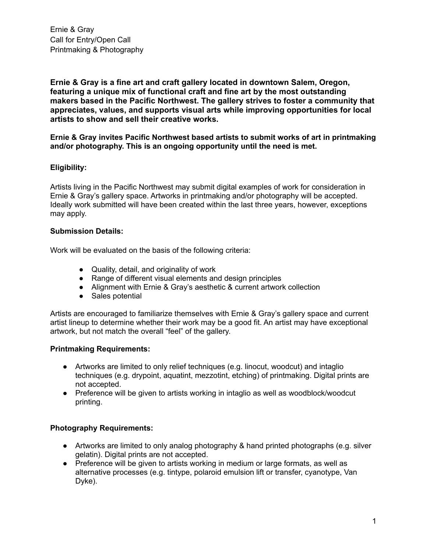Ernie & Gray Call for Entry/Open Call Printmaking & Photography

**Ernie & Gray is a fine art and craft gallery located in downtown Salem, Oregon, featuring a unique mix of functional craft and fine art by the most outstanding makers based in the Pacific Northwest. The gallery strives to foster a community that appreciates, values, and supports visual arts while improving opportunities for local artists to show and sell their creative works.**

**Ernie & Gray invites Pacific Northwest based artists to submit works of art in printmaking and/or photography. This is an ongoing opportunity until the need is met.**

## **Eligibility:**

Artists living in the Pacific Northwest may submit digital examples of work for consideration in Ernie & Gray's gallery space. Artworks in printmaking and/or photography will be accepted. Ideally work submitted will have been created within the last three years, however, exceptions may apply.

### **Submission Details:**

Work will be evaluated on the basis of the following criteria:

- Quality, detail, and originality of work
- Range of different visual elements and design principles
- Alignment with Ernie & Gray's aesthetic & current artwork collection
- Sales potential

Artists are encouraged to familiarize themselves with Ernie & Gray's gallery space and current artist lineup to determine whether their work may be a good fit. An artist may have exceptional artwork, but not match the overall "feel" of the gallery.

## **Printmaking Requirements:**

- Artworks are limited to only relief techniques (e.g. linocut, woodcut) and intaglio techniques (e.g. drypoint, aquatint, mezzotint, etching) of printmaking. Digital prints are not accepted.
- Preference will be given to artists working in intaglio as well as woodblock/woodcut printing.

## **Photography Requirements:**

- Artworks are limited to only analog photography & hand printed photographs (e.g. silver gelatin). Digital prints are not accepted.
- Preference will be given to artists working in medium or large formats, as well as alternative processes (e.g. tintype, polaroid emulsion lift or transfer, cyanotype, Van Dyke).